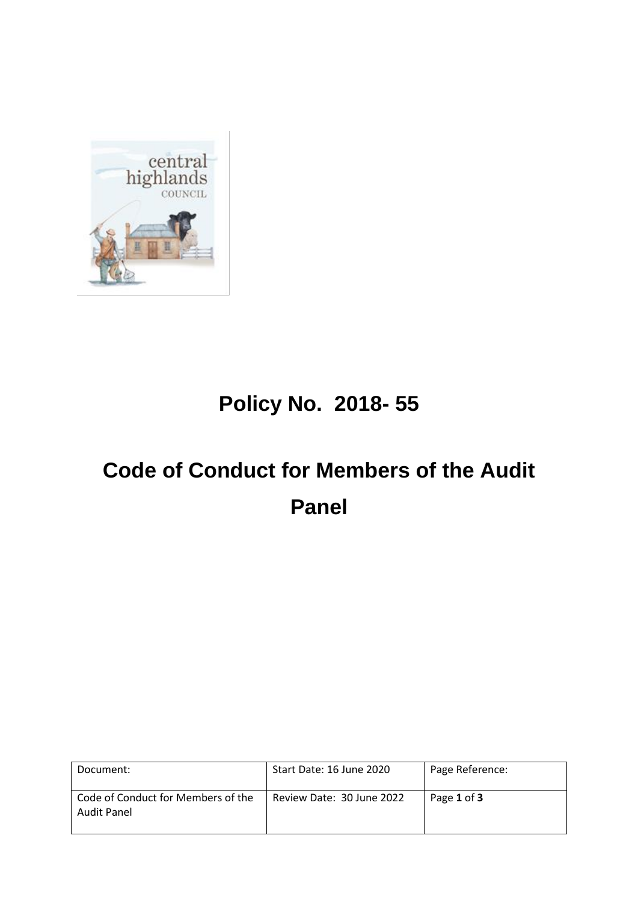

## **Policy No. 2018- 55**

# **Code of Conduct for Members of the Audit Panel**

| Document:                                         | Start Date: 16 June 2020  | Page Reference: |
|---------------------------------------------------|---------------------------|-----------------|
| Code of Conduct for Members of the<br>Audit Panel | Review Date: 30 June 2022 | Page 1 of 3     |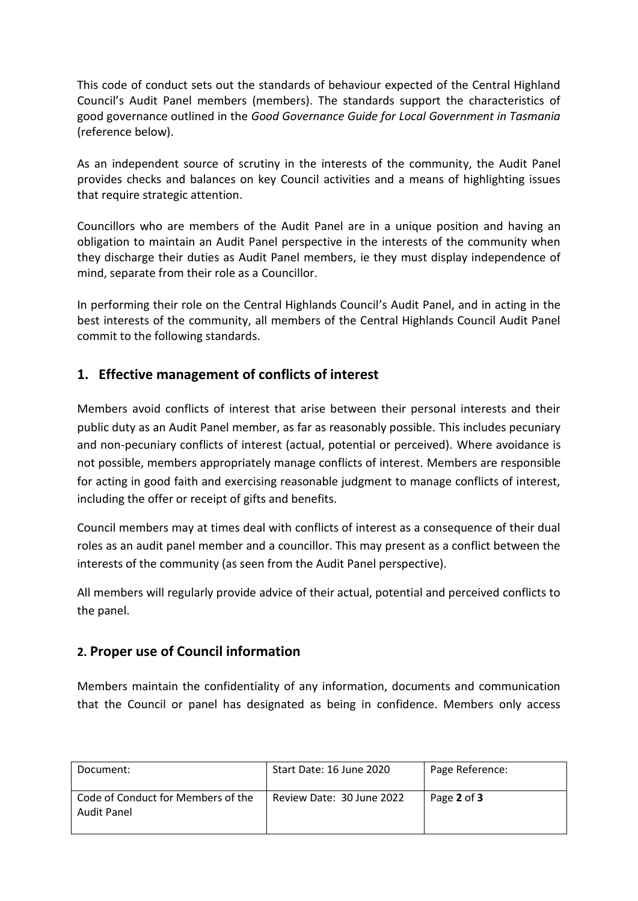This code of conduct sets out the standards of behaviour expected of the Central Highland Council's Audit Panel members (members). The standards support the characteristics of good governance outlined in the *Good Governance Guide for Local Government in Tasmania*  (reference below).

As an independent source of scrutiny in the interests of the community, the Audit Panel provides checks and balances on key Council activities and a means of highlighting issues that require strategic attention.

Councillors who are members of the Audit Panel are in a unique position and having an obligation to maintain an Audit Panel perspective in the interests of the community when they discharge their duties as Audit Panel members, ie they must display independence of mind, separate from their role as a Councillor.

In performing their role on the Central Highlands Council's Audit Panel, and in acting in the best interests of the community, all members of the Central Highlands Council Audit Panel commit to the following standards.

### **1. Effective management of conflicts of interest**

Members avoid conflicts of interest that arise between their personal interests and their public duty as an Audit Panel member, as far as reasonably possible. This includes pecuniary and non-pecuniary conflicts of interest (actual, potential or perceived). Where avoidance is not possible, members appropriately manage conflicts of interest. Members are responsible for acting in good faith and exercising reasonable judgment to manage conflicts of interest, including the offer or receipt of gifts and benefits.

Council members may at times deal with conflicts of interest as a consequence of their dual roles as an audit panel member and a councillor. This may present as a conflict between the interests of the community (as seen from the Audit Panel perspective).

All members will regularly provide advice of their actual, potential and perceived conflicts to the panel.

#### **2. Proper use of Council information**

Members maintain the confidentiality of any information, documents and communication that the Council or panel has designated as being in confidence. Members only access

| Document:                                         | Start Date: 16 June 2020  | Page Reference: |
|---------------------------------------------------|---------------------------|-----------------|
| Code of Conduct for Members of the<br>Audit Panel | Review Date: 30 June 2022 | Page 2 of 3     |